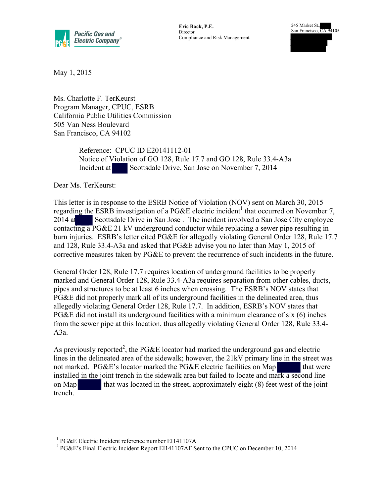

**Eric Back, P.E. Director** Compliance and Risk Management 245 Market St., San Francisco, CA 94105

May 1, 2015

Ms. Charlotte F. TerKeurst Program Manager, CPUC, ESRB California Public Utilities Commission 505 Van Ness Boulevard San Francisco, CA 94102

> Reference: CPUC ID E20141112-01 Notice of Violation of GO 128, Rule 17.7 and GO 128, Rule 33.4-A3a Incident at Scottsdale Drive, San Jose on November 7, 2014

Dear Ms. TerKeurst:

This letter is in response to the ESRB Notice of Violation (NOV) sent on March 30, 2015 regarding the ESRB investigation of a PG&E electric incident<sup>1</sup> that occurred on November 7, 2014 at Scottsdale Drive in San Jose. The incident involved a San Jose City employee contacting a PG&E 21 kV underground conductor while replacing a sewer pipe resulting in burn injuries. ESRB's letter cited PG&E for allegedly violating General Order 128, Rule 17.7 and 128, Rule 33.4-A3a and asked that PG&E advise you no later than May 1, 2015 of corrective measures taken by PG&E to prevent the recurrence of such incidents in the future.

General Order 128, Rule 17.7 requires location of underground facilities to be properly marked and General Order 128, Rule 33.4-A3a requires separation from other cables, ducts, pipes and structures to be at least 6 inches when crossing. The ESRB's NOV states that PG&E did not properly mark all of its underground facilities in the delineated area, thus allegedly violating General Order 128, Rule 17.7. In addition, ESRB's NOV states that PG&E did not install its underground facilities with a minimum clearance of six (6) inches from the sewer pipe at this location, thus allegedly violating General Order 128, Rule 33.4- A3a.

As previously reported<sup>2</sup>, the PG&E locator had marked the underground gas and electric lines in the delineated area of the sidewalk; however, the 21kV primary line in the street was not marked. PG&E's locator marked the PG&E electric facilities on Map that were installed in the joint trench in the sidewalk area but failed to locate and mark a second line on Map that was located in the street, approximately eight  $(8)$  feet west of the joint trench.

 $\overline{a}$ 1 PG&E Electric Incident reference number EI141107A

<sup>&</sup>lt;sup>2</sup> PG&E's Final Electric Incident Report EI141107AF Sent to the CPUC on December 10, 2014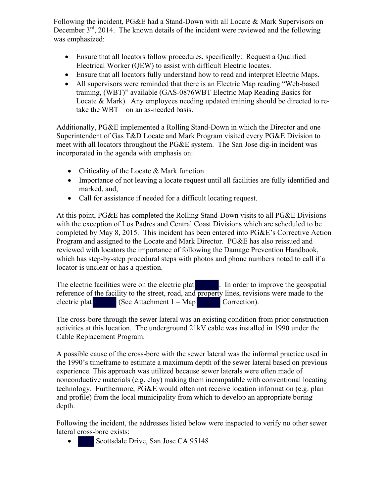Following the incident, PG&E had a Stand-Down with all Locate & Mark Supervisors on December  $3<sup>rd</sup>$ , 2014. The known details of the incident were reviewed and the following was emphasized:

- Ensure that all locators follow procedures, specifically: Request a Qualified Electrical Worker (QEW) to assist with difficult Electric locates.
- Ensure that all locators fully understand how to read and interpret Electric Maps.
- All supervisors were reminded that there is an Electric Map reading "Web-based training, (WBT)" available (GAS-0876WBT Electric Map Reading Basics for Locate & Mark). Any employees needing updated training should be directed to retake the WBT – on an as-needed basis.

Additionally, PG&E implemented a Rolling Stand-Down in which the Director and one Superintendent of Gas T&D Locate and Mark Program visited every PG&E Division to meet with all locators throughout the PG&E system. The San Jose dig-in incident was incorporated in the agenda with emphasis on:

- Criticality of the Locate & Mark function
- Importance of not leaving a locate request until all facilities are fully identified and marked, and,
- Call for assistance if needed for a difficult locating request.

At this point, PG&E has completed the Rolling Stand-Down visits to all PG&E Divisions with the exception of Los Padres and Central Coast Divisions which are scheduled to be completed by May 8, 2015. This incident has been entered into PG&E's Corrective Action Program and assigned to the Locate and Mark Director. PG&E has also reissued and reviewed with locators the importance of following the Damage Prevention Handbook, which has step-by-step procedural steps with photos and phone numbers noted to call if a locator is unclear or has a question.

The electric facilities were on the electric plat . In order to improve the geospatial reference of the facility to the street, road, and property lines, revisions were made to the electric plat  $(See Attachment 1 - Map$  Correction).

The cross-bore through the sewer lateral was an existing condition from prior construction activities at this location. The underground 21kV cable was installed in 1990 under the Cable Replacement Program.

A possible cause of the cross-bore with the sewer lateral was the informal practice used in the 1990's timeframe to estimate a maximum depth of the sewer lateral based on previous experience. This approach was utilized because sewer laterals were often made of nonconductive materials (e.g. clay) making them incompatible with conventional locating technology. Furthermore, PG&E would often not receive location information (e.g. plan and profile) from the local municipality from which to develop an appropriate boring depth.

Following the incident, the addresses listed below were inspected to verify no other sewer lateral cross-bore exists:

Scottsdale Drive, San Jose CA 95148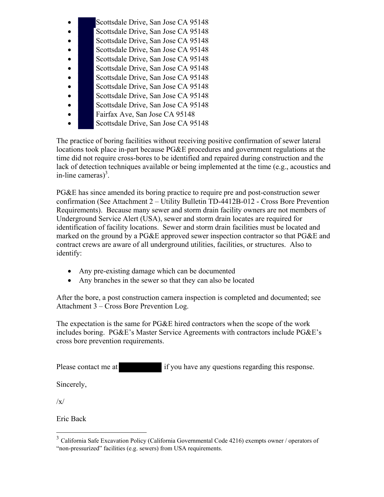- Scottsdale Drive, San Jose CA 95148
- Scottsdale Drive, San Jose CA 95148
- Scottsdale Drive, San Jose CA 95148
- Scottsdale Drive, San Jose CA 95148
- Scottsdale Drive, San Jose CA 95148
- Scottsdale Drive, San Jose CA 95148
- Scottsdale Drive, San Jose CA 95148
- Scottsdale Drive, San Jose CA 95148
- Scottsdale Drive, San Jose CA 95148
- Scottsdale Drive, San Jose CA 95148
- Fairfax Ave, San Jose CA 95148
- Scottsdale Drive, San Jose CA 95148

The practice of boring facilities without receiving positive confirmation of sewer lateral locations took place in-part because PG&E procedures and government regulations at the time did not require cross-bores to be identified and repaired during construction and the lack of detection techniques available or being implemented at the time (e.g., acoustics and in-line cameras $)^3$ .

PG&E has since amended its boring practice to require pre and post-construction sewer confirmation (See Attachment 2 – Utility Bulletin TD-4412B-012 - Cross Bore Prevention Requirements). Because many sewer and storm drain facility owners are not members of Underground Service Alert (USA), sewer and storm drain locates are required for identification of facility locations. Sewer and storm drain facilities must be located and marked on the ground by a PG&E approved sewer inspection contractor so that PG&E and contract crews are aware of all underground utilities, facilities, or structures. Also to identify:

- Any pre-existing damage which can be documented
- Any branches in the sewer so that they can also be located

After the bore, a post construction camera inspection is completed and documented; see Attachment 3 – Cross Bore Prevention Log.

The expectation is the same for PG&E hired contractors when the scope of the work includes boring. PG&E's Master Service Agreements with contractors include PG&E's cross bore prevention requirements.

Please contact me at if you have any questions regarding this response.

Sincerely,

 $\sqrt{x}$ 

 $\overline{a}$ 

Eric Back

<sup>&</sup>lt;sup>3</sup> California Safe Excavation Policy (California Governmental Code 4216) exempts owner / operators of "non-pressurized" facilities (e.g. sewers) from USA requirements.